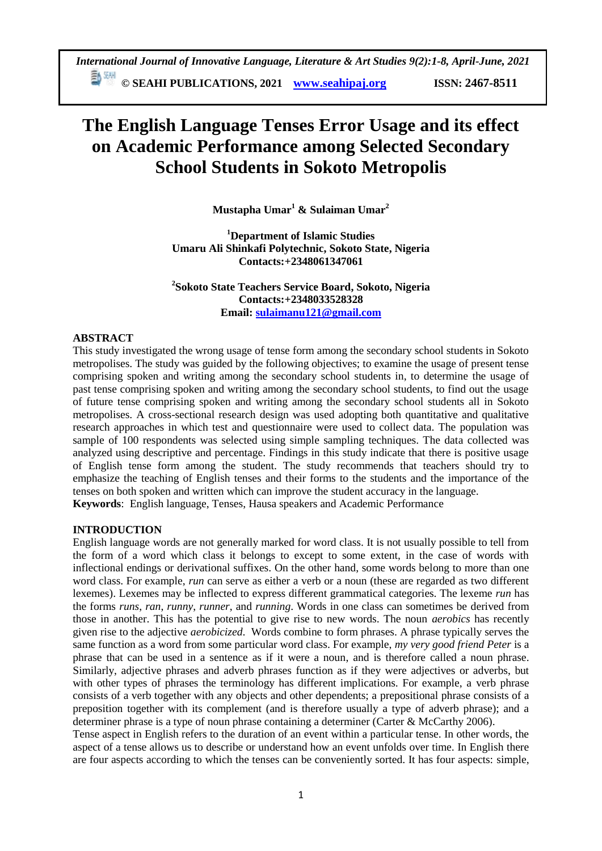*International Journal of Innovative Language, Literature & Art Studies 9(2):1-8, April-June, 2021* 勤观

**© SEAHI PUBLICATIONS, 2021 [www.seahipaj.org](http://www.seahipaj.org/) ISSN: 2467-8511**

# **The English Language Tenses Error Usage and its effect on Academic Performance among Selected Secondary School Students in Sokoto Metropolis**

**Mustapha Umar<sup>1</sup> & Sulaiman Umar<sup>2</sup>**

**<sup>1</sup>Department of Islamic Studies Umaru Ali Shinkafi Polytechnic, Sokoto State, Nigeria Contacts:+2348061347061**

**2 Sokoto State Teachers Service Board, Sokoto, Nigeria Contacts:+2348033528328 Email: [sulaimanu121@gmail.com](mailto:sulaimanu121@gmail.com)**

# **ABSTRACT**

This study investigated the wrong usage of tense form among the secondary school students in Sokoto metropolises. The study was guided by the following objectives; to examine the usage of present tense comprising spoken and writing among the secondary school students in, to determine the usage of past tense comprising spoken and writing among the secondary school students, to find out the usage of future tense comprising spoken and writing among the secondary school students all in Sokoto metropolises. A cross-sectional research design was used adopting both quantitative and qualitative research approaches in which test and questionnaire were used to collect data. The population was sample of 100 respondents was selected using simple sampling techniques. The data collected was analyzed using descriptive and percentage. Findings in this study indicate that there is positive usage of English tense form among the student. The study recommends that teachers should try to emphasize the teaching of English tenses and their forms to the students and the importance of the tenses on both spoken and written which can improve the student accuracy in the language. **Keywords**: English language, Tenses, Hausa speakers and Academic Performance

# **INTRODUCTION**

English language words are not generally marked for word class. It is not usually possible to tell from the form of a word which class it belongs to except to some extent, in the case of words with inflectional endings or derivational suffixes. On the other hand, some words belong to more than one word class. For example, *run* can serve as either a verb or a noun (these are regarded as two different [lexemes\)](https://en.wikipedia.org/wiki/Lexeme). Lexemes may be [inflected](https://en.wikipedia.org/wiki/Inflected) to express different grammatical categories. The lexeme *run* has the forms *runs*, *ran*, *runny*, *runner*, and *running*. Words in one class can sometimes be [derived](https://en.wikipedia.org/wiki/Morphological_derivation) from those in another. This has the potential to give rise to new words. The noun *aerobics* has recently given rise to the adjective *aerobicized*. Words combine to form [phrases.](https://en.wikipedia.org/wiki/Phrase) A phrase typically serves the same function as a word from some particular word class. For example, *my very good friend Peter* is a phrase that can be used in a sentence as if it were a noun, and is therefore called a [noun phrase.](https://en.wikipedia.org/wiki/Noun_phrase) Similarly, [adjective phrases](https://en.wikipedia.org/wiki/Adjectival_phrase) and [adverb phrases](https://en.wikipedia.org/wiki/Adverbial_phrase) function as if they were adjectives or adverbs, but with other types of phrases the terminology has different implications. For example, a [verb phrase](https://en.wikipedia.org/wiki/Verb_phrase) consists of a verb together with any objects and other dependents; a [prepositional phrase](https://en.wikipedia.org/wiki/Adpositional_phrase) consists of a preposition together with its complement (and is therefore usually a type of adverb phrase); and a [determiner phrase](https://en.wikipedia.org/wiki/Determiner_phrase) is a type of noun phrase containing a determiner [\(Carter & McCarthy 2006\)](https://en.wikipedia.org/wiki/English_grammar#CITEREFCarterMcCarthy2006).

Tense aspect in English refers to the duration of an event within a particular tense. In other words, the aspect of a tense allows us to describe or understand how an event unfolds over time. In English there are four aspects according to which the tenses can be conveniently sorted. It has four aspects: simple,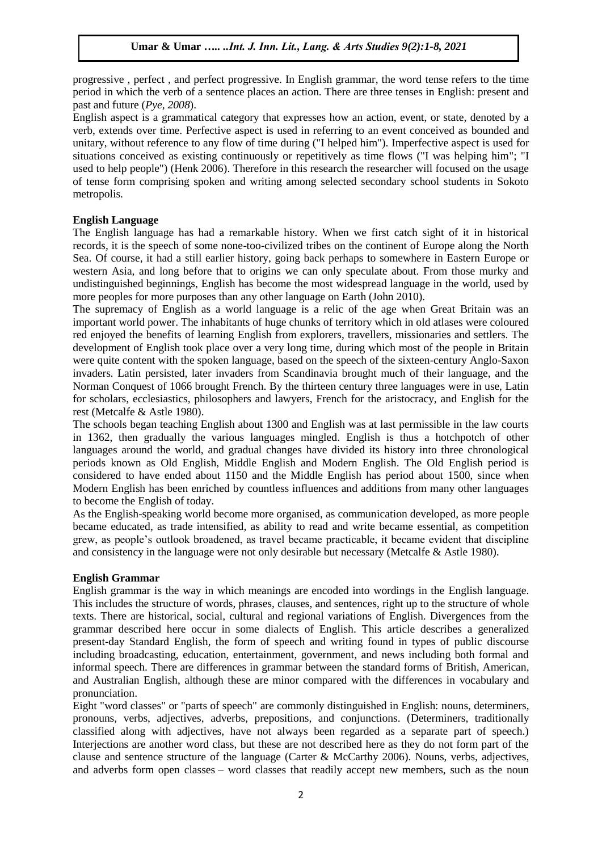[progressive](http://www.elearnenglishlanguage.com/blog/learn-english/grammar/progressive-aspect/) , [perfect](http://www.elearnenglishlanguage.com/blog/learn-english/grammar/perfect-aspect/) , and perfect progressive. In English grammar, the word tense refers to the time period in which the [verb](http://www.elearnenglishlanguage.com/blog/learn-english/grammar/verbs-introduction/) of a sentence places an action. There are three tenses in English: present and past and future (*Pye, 2008*).

English aspect is a [grammatical category](https://en.wikipedia.org/wiki/Grammatical_category) that expresses how an action, event, or state, denoted by a [verb,](https://en.wikipedia.org/wiki/Verb) extends over time. [Perfective](https://en.wikipedia.org/wiki/Perfective) aspect is used in referring to an event conceived as [bounded](https://en.wikipedia.org/wiki/Boundedness_%28linguistics%29) and unitary, without reference to any flow of time during ("I helped him"). [Imperfective](https://en.wikipedia.org/wiki/Imperfective) aspect is used for situations conceived as existing continuously or repetitively as time flows ("I was helping him"; "I used to help people") (Henk 2006). Therefore in this research the researcher will focused on the usage of tense form comprising spoken and writing among selected secondary school students in Sokoto metropolis.

# **English Language**

The English language has had a remarkable history. When we first catch sight of it in historical records, it is the speech of some none-too-civilized tribes on the continent of Europe along the North Sea. Of course, it had a still earlier history, going back perhaps to somewhere in Eastern Europe or western Asia, and long before that to origins we can only speculate about. From those murky and undistinguished beginnings, English has become the most widespread language in the world, used by more peoples for more purposes than any other language on Earth (John 2010).

The supremacy of English as a world language is a relic of the age when Great Britain was an important world power. The inhabitants of huge chunks of territory which in old atlases were coloured red enjoyed the benefits of learning English from explorers, travellers, missionaries and settlers. The development of English took place over a very long time, during which most of the people in Britain were quite content with the spoken language, based on the speech of the sixteen-century Anglo-Saxon invaders. Latin persisted, later invaders from Scandinavia brought much of their language, and the Norman Conquest of 1066 brought French. By the thirteen century three languages were in use, Latin for scholars, ecclesiastics, philosophers and lawyers, French for the aristocracy, and English for the rest (Metcalfe & Astle 1980).

The schools began teaching English about 1300 and English was at last permissible in the law courts in 1362, then gradually the various languages mingled. English is thus a hotchpotch of other languages around the world, and gradual changes have divided its history into three chronological periods known as Old English, Middle English and Modern English. The Old English period is considered to have ended about 1150 and the Middle English has period about 1500, since when Modern English has been enriched by countless influences and additions from many other languages to become the English of today.

As the English-speaking world become more organised, as communication developed, as more people became educated, as trade intensified, as ability to read and write became essential, as competition grew, as people's outlook broadened, as travel became practicable, it became evident that discipline and consistency in the language were not only desirable but necessary (Metcalfe & Astle 1980).

# **English Grammar**

English grammar is the way in which meanings are encoded into wordings in the [English language.](https://en.wikipedia.org/wiki/English_language) This includes the structure of [words,](https://en.wikipedia.org/wiki/Words) [phrases,](https://en.wikipedia.org/wiki/Phrases) [clauses,](https://en.wikipedia.org/wiki/Clauses) and [sentences,](https://en.wikipedia.org/wiki/Sentence_%28linguistics%29) right up to the structure of whole texts. There are historical, social, cultural and regional variations of English. Divergences from the [grammar](https://en.wikipedia.org/wiki/Grammar) described here occur in some [dialects of English.](https://en.wikipedia.org/wiki/List_of_dialects_of_the_English_language) This article describes a generalized present-day [Standard English,](https://en.wikipedia.org/wiki/Standard_English) the form of speech and writing found in types of public discourse including broadcasting, education, entertainment, government, and news including both formal and informal speech. There are differences in grammar between the standard forms of [British,](https://en.wikipedia.org/wiki/British_English) [American,](https://en.wikipedia.org/wiki/American_English) and [Australian English,](https://en.wikipedia.org/wiki/Australian_English) although these are minor compared with the differences in [vocabulary](https://en.wikipedia.org/wiki/Lexicon) and [pronunciation.](https://en.wikipedia.org/wiki/English_phonology)

Eight ["word classes" or "parts of speech"](https://en.wikipedia.org/wiki/Part_of_speech) are commonly distinguished in English: [nouns,](https://en.wikipedia.org/wiki/Noun) [determiners,](https://en.wikipedia.org/wiki/Determiner_%28linguistics%29) [pronouns,](https://en.wikipedia.org/wiki/Pronoun) [verbs,](https://en.wikipedia.org/wiki/Verb) [adjectives,](https://en.wikipedia.org/wiki/Adjective) [adverbs,](https://en.wikipedia.org/wiki/Adverb) [prepositions,](https://en.wikipedia.org/wiki/Preposition) and [conjunctions.](https://en.wikipedia.org/wiki/Grammatical_conjunction) (Determiners, traditionally classified along with adjectives, have not always been regarded as a separate part of speech.) [Interjections](https://en.wikipedia.org/wiki/Interjections) are another word class, but these are not described here as they do not form part of the [clause](https://en.wikipedia.org/wiki/Clause) and [sentence](https://en.wikipedia.org/wiki/Sentence_%28linguistics%29) structure of the language (Carter  $&$  McCarthy 2006). Nouns, verbs, adjectives, and adverbs form [open classes](https://en.wikipedia.org/wiki/Open_class_%28linguistics%29) – word classes that readily accept new members, such as the noun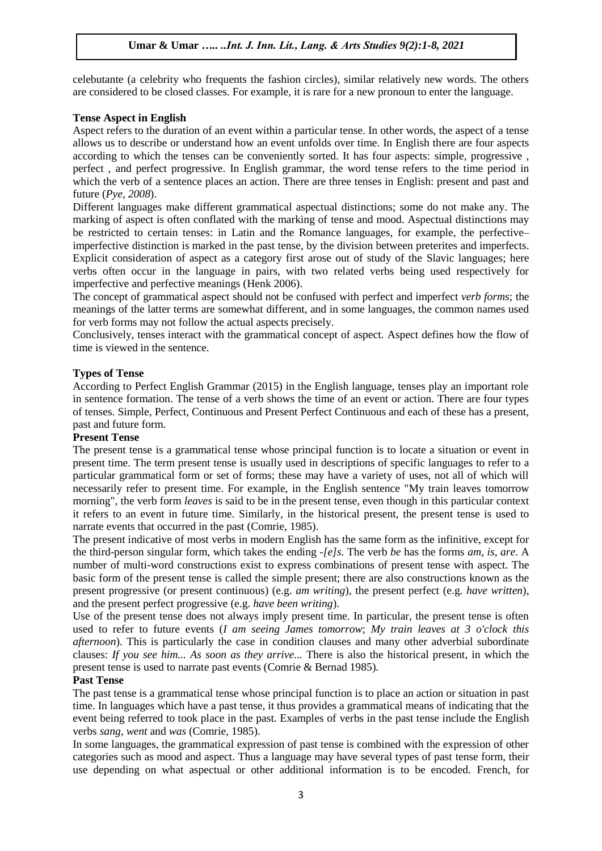[celebutante](https://en.wikipedia.org/wiki/Celebutante) (a celebrity who frequents the fashion circles), similar relatively new words. The others are considered to be [closed classes.](https://en.wikipedia.org/wiki/Closed_class) For example, it is rare for a new pronoun to enter the language.

## **Tense Aspect in English**

Aspect refers to the duration of an event within a particular tense. In other words, the aspect of a tense allows us to describe or understand how an event unfolds over time. In English there are four aspects according to which the tenses can be conveniently sorted. It has four aspects: simple, [progressive](http://www.elearnenglishlanguage.com/blog/learn-english/grammar/progressive-aspect/) , [perfect](http://www.elearnenglishlanguage.com/blog/learn-english/grammar/perfect-aspect/) , and perfect progressive. In English grammar, the word tense refers to the time period in which the [verb](http://www.elearnenglishlanguage.com/blog/learn-english/grammar/verbs-introduction/) of a sentence places an action. There are three tenses in English: present and past and future (*Pye, 2008*).

Different languages make different grammatical aspectual distinctions; some do not make any. The marking of aspect is often conflated with the marking of [tense](https://en.wikipedia.org/wiki/Grammatical_tense) and [mood.](https://en.wikipedia.org/wiki/Grammatical_mood) Aspectual distinctions may be restricted to certain tenses: in [Latin](https://en.wikipedia.org/wiki/Latin) and the [Romance languages,](https://en.wikipedia.org/wiki/Romance_languages) for example, the perfective– imperfective distinction is marked in the [past tense,](https://en.wikipedia.org/wiki/Past_tense) by the division between [preterites](https://en.wikipedia.org/wiki/Preterite) and [imperfects.](https://en.wikipedia.org/wiki/Imperfect) Explicit consideration of aspect as a category first arose out of study of the [Slavic languages;](https://en.wikipedia.org/wiki/Slavic_languages) here verbs often occur in the language in pairs, with two related verbs being used respectively for imperfective and perfective meanings (Henk 2006).

The concept of grammatical aspect should not be confused with [perfect](https://en.wikipedia.org/wiki/Perfect_%28grammar%29) and [imperfect](https://en.wikipedia.org/wiki/Imperfect) *verb forms*; the meanings of the latter terms are somewhat different, and in some languages, the common names used for verb forms may not follow the actual aspects precisely.

Conclusively, tenses interact with the grammatical concept of aspect. [Aspect d](http://www.whitesmoke.com/free-online-dictionary/aspect)efines how the flow of time is viewed in the sentence.

### **Types of Tense**

According to Perfect English Grammar (2015) in the English language, tenses play an important role in sentence formation. The tense of a verb shows the time of an event or action. There are four types of tenses. Simple, Perfect, Continuous and Present Perfect Continuous and each of these has a present, past and future form.

#### **Present Tense**

The present tense is a [grammatical tense](https://en.wikipedia.org/wiki/Grammatical_tense) whose principal function is to locate a situation or event in present time. The term present tense is usually used in descriptions of specific languages to refer to a particular grammatical form or set of forms; these may have a variety of uses, not all of which will necessarily refer to present time. For example, in the [English](https://en.wikipedia.org/wiki/English_language) sentence "My train leaves tomorrow morning", the verb form *leaves* is said to be in the present tense, even though in this particular context it refers to an event in future time. Similarly, in the [historical present,](https://en.wikipedia.org/wiki/Historical_present) the present tense is used to narrate events that occurred in the past (Comrie, 1985).

The present indicative of most verbs in modern [English](https://en.wikipedia.org/wiki/English_language) has the same form as the infinitive, except for the [third-person](https://en.wikipedia.org/wiki/Grammatical_person) singular form, which takes the ending *-[e]s*. The verb *be* has the forms *am*, *is*, *are*. A number of multi-word constructions exist to express combinations of present tense with [aspect.](https://en.wikipedia.org/wiki/Grammatical_aspect) The basic form of the present tense is called the [simple present;](https://en.wikipedia.org/wiki/Simple_present) there are also constructions known as the [present progressive](https://en.wikipedia.org/wiki/Present_progressive) (or present continuous) (e.g. *am writing*), the [present perfect](https://en.wikipedia.org/wiki/Present_perfect) (e.g. *have written*), and the [present perfect progressive](https://en.wikipedia.org/wiki/Present_perfect_progressive) (e.g. *have been writing*).

Use of the present tense does not always imply present time. In particular, the present tense is often used to refer to future events (*I am seeing James tomorrow*; *My train leaves at 3 o'clock this afternoon*). This is particularly the case in [condition](https://en.wikipedia.org/wiki/Conditional_sentence) clauses and many other adverbial subordinate clauses: *If you see him... As soon as they arrive...* There is also the [historical present,](https://en.wikipedia.org/wiki/Historical_present) in which the present tense is used to narrate past events (Comrie & Bernad 1985).

#### **Past Tense**

The past tense is a [grammatical tense](https://en.wikipedia.org/wiki/Grammatical_tense) whose principal function is to place an action or situation in past time. In languages which have a past tense, it thus provides a grammatical means of indicating that the event being referred to took place in the past. Examples of [verbs](https://en.wikipedia.org/wiki/Verb) in the past tense include the English verbs *sang*, *went* and *was* (Comrie, 1985).

In some languages, the grammatical expression of past tense is combined with the expression of other [categories](https://en.wikipedia.org/wiki/Grammatical_category) such as [mood](https://en.wikipedia.org/wiki/Grammatical_mood) and [aspect.](https://en.wikipedia.org/wiki/Grammatical_aspect) Thus a language may have several types of past tense form, their use depending on what aspectual or other additional information is to be encoded. [French,](https://en.wikipedia.org/wiki/French_verbs) for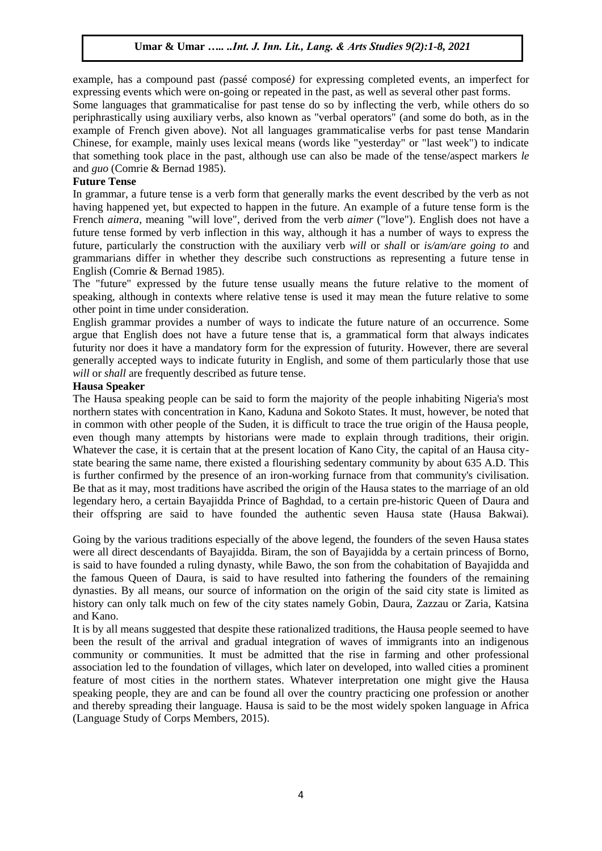example, has a compound past *(*[passé composé](https://en.wikipedia.org/wiki/Pass%C3%A9_compos%C3%A9)*)* for expressing completed events, an [imperfect](https://en.wikipedia.org/wiki/Imperfect) for expressing events which were on-going or repeated in the past, as well as several other past forms.

Some languages that grammaticalise for past tense do so by [inflecting](https://en.wikipedia.org/wiki/Inflect) the verb, while others do so [periphrastically](https://en.wikipedia.org/wiki/Periphrasis) using [auxiliary verbs,](https://en.wikipedia.org/wiki/Auxiliary_verbs) also known as "verbal operators" (and some do both, as in the example of French given above). Not all languages grammaticalise verbs for past tense [Mandarin](https://en.wikipedia.org/wiki/Chinese_grammar)  [Chinese,](https://en.wikipedia.org/wiki/Chinese_grammar) for example, mainly uses lexical means (words like "yesterday" or "last week") to indicate that something took place in the past, although use can also be made of the [tense/aspect markers](https://en.wikipedia.org/wiki/Chinese_grammar#Aspects) *le* and *guo* (Comrie & Bernad 1985).

## **Future Tense**

In [grammar,](https://en.wikipedia.org/wiki/Grammar) a future tense is a [verb](https://en.wikipedia.org/wiki/Verb) form that generally marks the event described by the verb as not having happened yet, but expected to happen in the future. An example of a future [tense](https://en.wikipedia.org/wiki/Grammatical_tense) form is the [French](https://en.wikipedia.org/wiki/French_verbs) *aimera*, meaning "will love", derived from the verb *aimer* ("love"). [English](https://en.wikipedia.org/wiki/English_verbs) does not have a future tense formed by verb [inflection](https://en.wikipedia.org/wiki/Inflection) in this way, although it has a number of ways to express the future, particularly the construction with the [auxiliary verb](https://en.wikipedia.org/wiki/English_auxiliaries) *will* or *shall* or *is/am/are going to* and grammarians differ in whether they describe such constructions as representing a future tense in English (Comrie & Bernad 1985).

The "future" expressed by the future tense usually means the future relative to the moment of speaking, although in contexts where [relative tense](https://en.wikipedia.org/wiki/Relative_tense) is used it may mean the future relative to some other point in time under consideration.

English grammar provides a number of ways to indicate the future nature of an occurrence. Some argue that English does not have a future tense that is, a grammatical form that always indicates futurity nor does it have a mandatory form for the expression of futurity. However, there are several generally accepted ways to indicate futurity in English, and some of them particularly those that use *will* or *shall* are frequently described as future tense.

#### **Hausa Speaker**

The Hausa speaking people can be said to form the majority of the people inhabiting Nigeria's most northern states with concentration in Kano, Kaduna and Sokoto States. It must, however, be noted that in common with other people of the Suden, it is difficult to trace the true origin of the Hausa people, even though many attempts by historians were made to explain through traditions, their origin. Whatever the case, it is certain that at the present location of Kano City, the capital of an Hausa citystate bearing the same name, there existed a flourishing sedentary community by about 635 A.D. This is further confirmed by the presence of an iron-working furnace from that community's civilisation. Be that as it may, most traditions have ascribed the origin of the Hausa states to the marriage of an old legendary hero, a certain Bayajidda Prince of Baghdad, to a certain pre-historic Queen of Daura and their offspring are said to have founded the authentic seven Hausa state (Hausa Bakwai).

Going by the various traditions especially of the above legend, the founders of the seven Hausa states were all direct descendants of Bayajidda. Biram, the son of Bayajidda by a certain princess of Borno, is said to have founded a ruling dynasty, while Bawo, the son from the cohabitation of Bayajidda and the famous Queen of Daura, is said to have resulted into fathering the founders of the remaining dynasties. By all means, our source of information on the origin of the said city state is limited as history can only talk much on few of the city states namely Gobin, Daura, Zazzau or Zaria, Katsina and Kano.

It is by all means suggested that despite these rationalized traditions, the Hausa people seemed to have been the result of the arrival and gradual integration of waves of immigrants into an indigenous community or communities. It must be admitted that the rise in farming and other professional association led to the foundation of villages, which later on developed, into walled cities a prominent feature of most cities in the northern states. Whatever interpretation one might give the Hausa speaking people, they are and can be found all over the country practicing one profession or another and thereby spreading their language. Hausa is said to be the most widely spoken language in Africa (Language Study of Corps Members, 2015).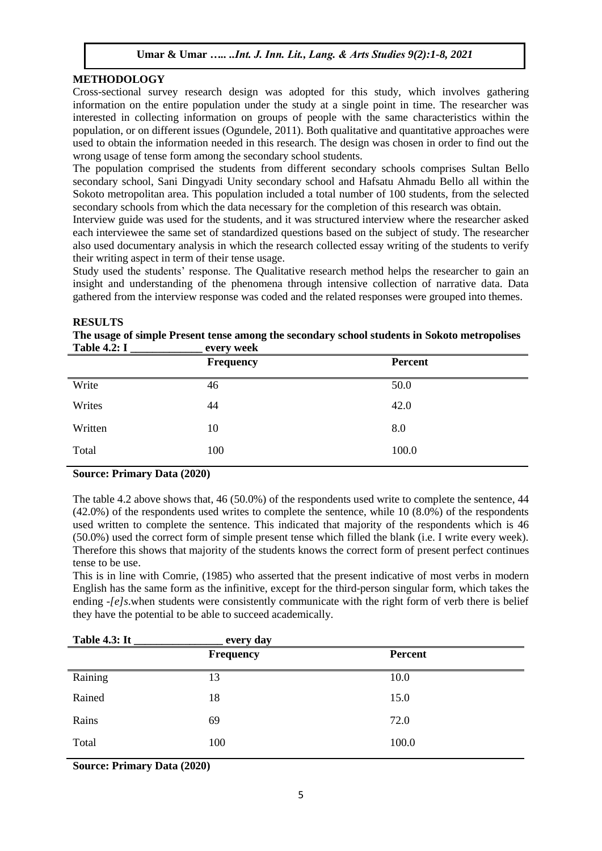# **METHODOLOGY**

Cross-sectional survey research design was adopted for this study, which involves gathering information on the entire population under the study at a single point in time. The researcher was interested in collecting information on groups of people with the same characteristics within the population, or on different issues (Ogundele, 2011). Both qualitative and quantitative approaches were used to obtain the information needed in this research. The design was chosen in order to find out the wrong usage of tense form among the secondary school students.

The population comprised the students from different secondary schools comprises Sultan Bello secondary school, Sani Dingyadi Unity secondary school and Hafsatu Ahmadu Bello all within the Sokoto metropolitan area. This population included a total number of 100 students, from the selected secondary schools from which the data necessary for the completion of this research was obtain.

Interview guide was used for the students, and it was structured interview where the researcher asked each interviewee the same set of standardized questions based on the subject of study. The researcher also used documentary analysis in which the research collected essay writing of the students to verify their writing aspect in term of their tense usage.

Study used the students' response. The Qualitative research method helps the researcher to gain an insight and understanding of the phenomena through intensive collection of narrative data. Data gathered from the interview response was coded and the related responses were grouped into themes.

# **RESULTS**

|                     |            | The usage of simple Present tense among the secondary school students in Sokoto metropolises |
|---------------------|------------|----------------------------------------------------------------------------------------------|
| <b>Table 4.2: I</b> | every week |                                                                                              |

| $1401C$ T.2. $1$ | $\mathbf{v}$ $\mathbf{u}$ $\mathbf{v}$ with |                |
|------------------|---------------------------------------------|----------------|
|                  | <b>Frequency</b>                            | <b>Percent</b> |
| Write            | 46                                          | 50.0           |
| Writes           | 44                                          | 42.0           |
| Written          | 10                                          | 8.0            |
| Total            | 100                                         | 100.0          |

# **Source: Primary Data (2020)**

The table 4.2 above shows that, 46 (50.0%) of the respondents used write to complete the sentence, 44 (42.0%) of the respondents used writes to complete the sentence, while 10 (8.0%) of the respondents used written to complete the sentence. This indicated that majority of the respondents which is 46 (50.0%) used the correct form of simple present tense which filled the blank (i.e. I write every week). Therefore this shows that majority of the students knows the correct form of present perfect continues tense to be use.

This is in line with Comrie, (1985) who asserted that the present indicative of most verbs in modern [English](https://en.wikipedia.org/wiki/English_language) has the same form as the infinitive, except for the [third-person](https://en.wikipedia.org/wiki/Grammatical_person) singular form, which takes the ending *-[e]s*.when students were consistently communicate with the right form of verb there is belief they have the potential to be able to succeed academically.

| <b>Table 4.3: It</b> | every day        |         |  |
|----------------------|------------------|---------|--|
|                      | <b>Frequency</b> | Percent |  |
| Raining              | 13               | 10.0    |  |
| Rained               | 18               | 15.0    |  |
| Rains                | 69               | 72.0    |  |
| Total                | 100              | 100.0   |  |
|                      |                  |         |  |

**Source: Primary Data (2020)**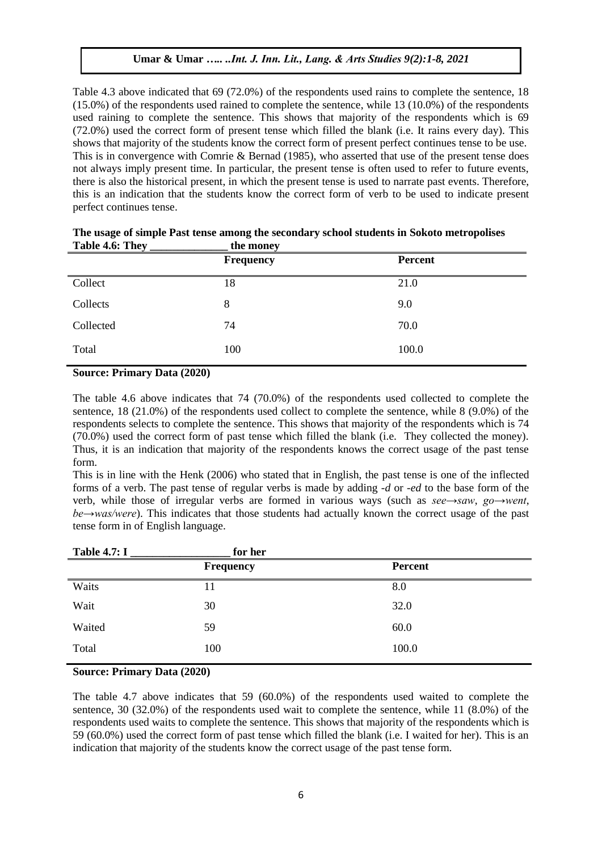Table 4.3 above indicated that 69 (72.0%) of the respondents used rains to complete the sentence, 18 (15.0%) of the respondents used rained to complete the sentence, while 13 (10.0%) of the respondents used raining to complete the sentence. This shows that majority of the respondents which is 69 (72.0%) used the correct form of present tense which filled the blank (i.e. It rains every day). This shows that majority of the students know the correct form of present perfect continues tense to be use. This is in convergence with Comrie & Bernad (1985), who asserted that use of the present tense does not always imply present time. In particular, the present tense is often used to refer to future events, there is also the [historical present,](https://en.wikipedia.org/wiki/Historical_present) in which the present tense is used to narrate past events. Therefore, this is an indication that the students know the correct form of verb to be used to indicate present perfect continues tense.

|           | <b>Frequency</b> | Percent |
|-----------|------------------|---------|
| Collect   | 18               | 21.0    |
| Collects  | 8                | 9.0     |
| Collected | 74               | 70.0    |
| Total     | 100              | 100.0   |

#### **The usage of simple Past tense among the secondary school students in Sokoto metropolises** Table 4.6: They the money

# **Source: Primary Data (2020)**

The table 4.6 above indicates that 74 (70.0%) of the respondents used collected to complete the sentence, 18 (21.0%) of the respondents used collect to complete the sentence, while 8 (9.0%) of the respondents selects to complete the sentence. This shows that majority of the respondents which is 74  $(70.0\%)$  used the correct form of past tense which filled the blank (i.e. They collected the money). Thus, it is an indication that majority of the respondents knows the correct usage of the past tense form.

This is in line with the Henk (2006) who stated that in English, the past tense is one of the [inflected](https://en.wikipedia.org/wiki/Inflection) forms of a verb. The past tense of [regular verbs](https://en.wikipedia.org/wiki/Regular_verb) is made by adding *-d* or *-ed* to the base form of the verb, while those of [irregular verbs](https://en.wikipedia.org/wiki/English_irregular_verbs) are formed in various ways (such as *see→saw*, *go→went*, *be→was/were*). This indicates that those students had actually known the correct usage of the past tense form in of English language.

| <b>Table 4.7: I</b> | for her   |                |
|---------------------|-----------|----------------|
|                     | Frequency | <b>Percent</b> |
| Waits<br>11         |           | 8.0            |
| Wait<br>30          |           | 32.0           |
| Waited<br>59        |           | 60.0           |
| Total<br>100        |           | 100.0          |

# **Source: Primary Data (2020)**

The table 4.7 above indicates that 59 (60.0%) of the respondents used waited to complete the sentence, 30 (32.0%) of the respondents used wait to complete the sentence, while 11 (8.0%) of the respondents used waits to complete the sentence. This shows that majority of the respondents which is 59 (60.0%) used the correct form of past tense which filled the blank (i.e. I waited for her). This is an indication that majority of the students know the correct usage of the past tense form.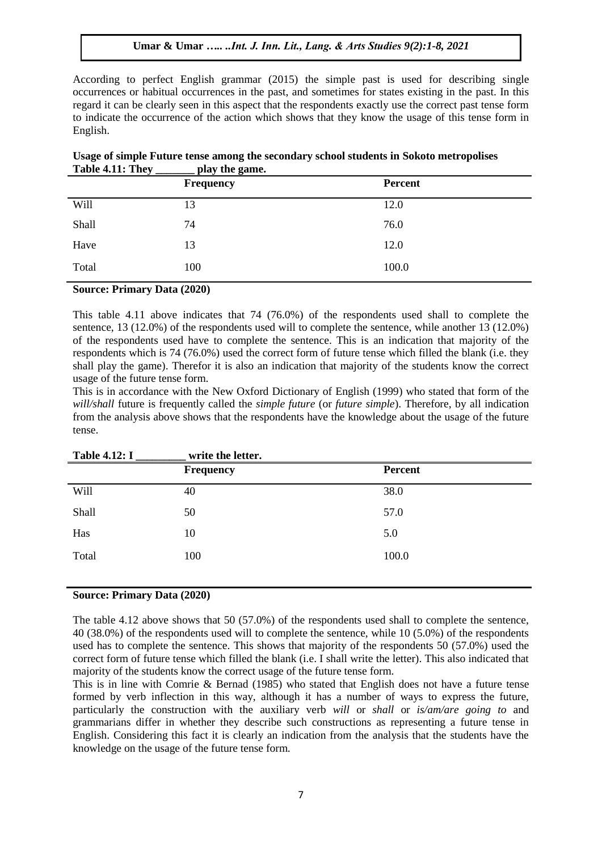According to perfect English grammar (2015) the simple past is used for describing [single](https://en.wikipedia.org/wiki/Perfective_aspect)  [occurrences](https://en.wikipedia.org/wiki/Perfective_aspect) or [habitual occurrences](https://en.wikipedia.org/wiki/Habitual_aspect) in the past, and sometimes for states existing in the past. In this regard it can be clearly seen in this aspect that the respondents exactly use the correct past tense form to indicate the occurrence of the action which shows that they know the usage of this tense form in English.

| 14010 BLIT 1110 | pay the game.    |         |
|-----------------|------------------|---------|
|                 | <b>Frequency</b> | Percent |
| Will            | 13               | 12.0    |
| Shall           | 74               | 76.0    |
| Have            | 13               | 12.0    |
| Total           | 100              | 100.0   |
|                 |                  |         |

|                  |                | Usage of simple Future tense among the secondary school students in Sokoto metropolises |
|------------------|----------------|-----------------------------------------------------------------------------------------|
| Table 4.11: They | play the game. |                                                                                         |

#### **Source: Primary Data (2020)**

This table 4.11 above indicates that 74 (76.0%) of the respondents used shall to complete the sentence, 13 (12.0%) of the respondents used will to complete the sentence, while another 13 (12.0%) of the respondents used have to complete the sentence. This is an indication that majority of the respondents which is 74 (76.0%) used the correct form of future tense which filled the blank (i.e. they shall play the game). Therefor it is also an indication that majority of the students know the correct usage of the future tense form.

This is in accordance with the New Oxford Dictionary of English (1999) who stated that form of the *will/shall* future is frequently called the *simple future* (or *future simple*). Therefore, by all indication from the analysis above shows that the respondents have the knowledge about the usage of the future tense.

| <b>Table 4.12: I</b> | write the letter. |         |  |
|----------------------|-------------------|---------|--|
|                      | <b>Frequency</b>  | Percent |  |
| Will                 | 40                | 38.0    |  |
| Shall                | 50                | 57.0    |  |
| Has                  | 10                | 5.0     |  |
| Total                | 100               | 100.0   |  |
|                      |                   |         |  |

#### **Source: Primary Data (2020)**

The table 4.12 above shows that 50 (57.0%) of the respondents used shall to complete the sentence, 40 (38.0%) of the respondents used will to complete the sentence, while 10 (5.0%) of the respondents used has to complete the sentence. This shows that majority of the respondents 50 (57.0%) used the correct form of future tense which filled the blank (i.e. I shall write the letter). This also indicated that majority of the students know the correct usage of the future tense form.

This is in line with Comrie & Bernad (1985) who stated that [English](https://en.wikipedia.org/wiki/English_verbs) does not have a future tense formed by verb [inflection](https://en.wikipedia.org/wiki/Inflection) in this way, although it has a number of ways to express the future, particularly the construction with the [auxiliary verb](https://en.wikipedia.org/wiki/English_auxiliaries) *will* or *shall* or *is/am/are going to* and grammarians differ in whether they describe such constructions as representing a future tense in English. Considering this fact it is clearly an indication from the analysis that the students have the knowledge on the usage of the future tense form.